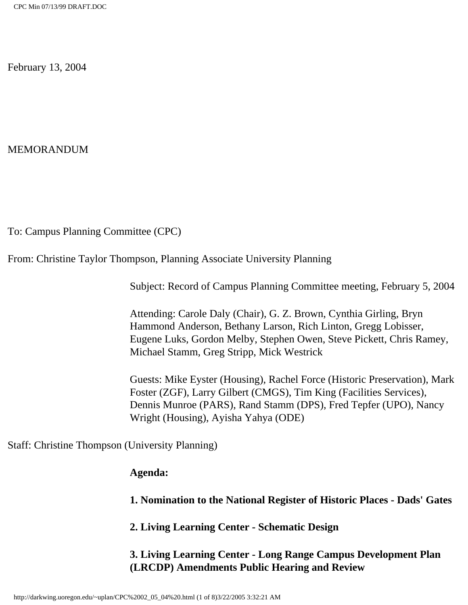February 13, 2004

MEMORANDUM

To: Campus Planning Committee (CPC)

From: Christine Taylor Thompson, Planning Associate University Planning

Subject: Record of Campus Planning Committee meeting, February 5, 2004

Attending: Carole Daly (Chair), G. Z. Brown, Cynthia Girling, Bryn Hammond Anderson, Bethany Larson, Rich Linton, Gregg Lobisser, Eugene Luks, Gordon Melby, Stephen Owen, Steve Pickett, Chris Ramey, Michael Stamm, Greg Stripp, Mick Westrick

Guests: Mike Eyster (Housing), Rachel Force (Historic Preservation), Mark Foster (ZGF), Larry Gilbert (CMGS), Tim King (Facilities Services), Dennis Munroe (PARS), Rand Stamm (DPS), Fred Tepfer (UPO), Nancy Wright (Housing), Ayisha Yahya (ODE)

Staff: Christine Thompson (University Planning)

# **Agenda:**

**1. Nomination to the National Register of Historic Places - Dads' Gates** 

**2. Living Learning Center - Schematic Design** 

**3. Living Learning Center - Long Range Campus Development Plan (LRCDP) Amendments Public Hearing and Review**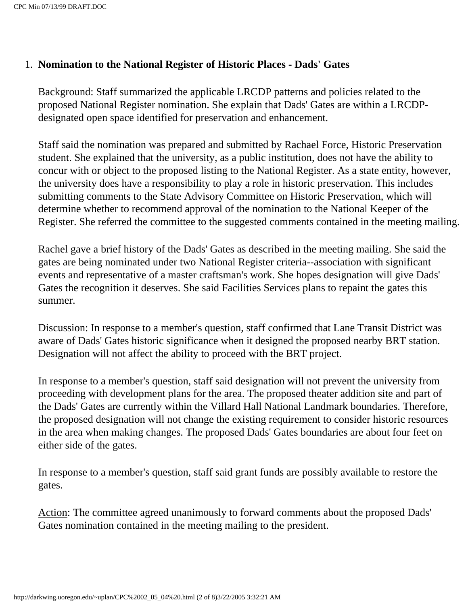# 1. **Nomination to the National Register of Historic Places - Dads' Gates**

Background: Staff summarized the applicable LRCDP patterns and policies related to the proposed National Register nomination. She explain that Dads' Gates are within a LRCDPdesignated open space identified for preservation and enhancement.

Staff said the nomination was prepared and submitted by Rachael Force, Historic Preservation student. She explained that the university, as a public institution, does not have the ability to concur with or object to the proposed listing to the National Register. As a state entity, however, the university does have a responsibility to play a role in historic preservation. This includes submitting comments to the State Advisory Committee on Historic Preservation, which will determine whether to recommend approval of the nomination to the National Keeper of the Register. She referred the committee to the suggested comments contained in the meeting mailing.

Rachel gave a brief history of the Dads' Gates as described in the meeting mailing. She said the gates are being nominated under two National Register criteria--association with significant events and representative of a master craftsman's work. She hopes designation will give Dads' Gates the recognition it deserves. She said Facilities Services plans to repaint the gates this summer.

Discussion: In response to a member's question, staff confirmed that Lane Transit District was aware of Dads' Gates historic significance when it designed the proposed nearby BRT station. Designation will not affect the ability to proceed with the BRT project.

In response to a member's question, staff said designation will not prevent the university from proceeding with development plans for the area. The proposed theater addition site and part of the Dads' Gates are currently within the Villard Hall National Landmark boundaries. Therefore, the proposed designation will not change the existing requirement to consider historic resources in the area when making changes. The proposed Dads' Gates boundaries are about four feet on either side of the gates.

In response to a member's question, staff said grant funds are possibly available to restore the gates.

Action: The committee agreed unanimously to forward comments about the proposed Dads' Gates nomination contained in the meeting mailing to the president.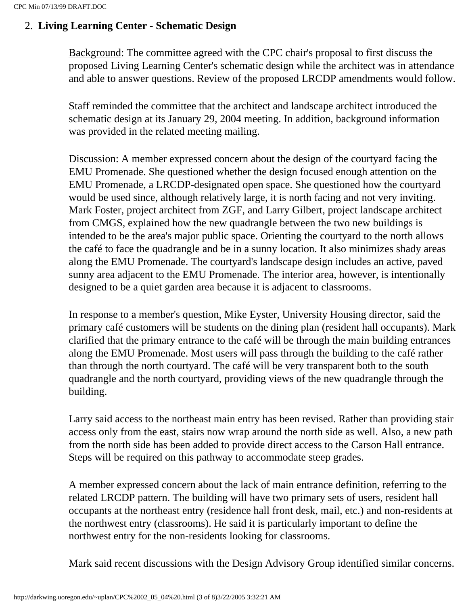# 2. **Living Learning Center - Schematic Design**

Background: The committee agreed with the CPC chair's proposal to first discuss the proposed Living Learning Center's schematic design while the architect was in attendance and able to answer questions. Review of the proposed LRCDP amendments would follow.

Staff reminded the committee that the architect and landscape architect introduced the schematic design at its January 29, 2004 meeting. In addition, background information was provided in the related meeting mailing.

Discussion: A member expressed concern about the design of the courtyard facing the EMU Promenade. She questioned whether the design focused enough attention on the EMU Promenade, a LRCDP-designated open space. She questioned how the courtyard would be used since, although relatively large, it is north facing and not very inviting. Mark Foster, project architect from ZGF, and Larry Gilbert, project landscape architect from CMGS, explained how the new quadrangle between the two new buildings is intended to be the area's major public space. Orienting the courtyard to the north allows the café to face the quadrangle and be in a sunny location. It also minimizes shady areas along the EMU Promenade. The courtyard's landscape design includes an active, paved sunny area adjacent to the EMU Promenade. The interior area, however, is intentionally designed to be a quiet garden area because it is adjacent to classrooms.

In response to a member's question, Mike Eyster, University Housing director, said the primary café customers will be students on the dining plan (resident hall occupants). Mark clarified that the primary entrance to the café will be through the main building entrances along the EMU Promenade. Most users will pass through the building to the café rather than through the north courtyard. The café will be very transparent both to the south quadrangle and the north courtyard, providing views of the new quadrangle through the building.

Larry said access to the northeast main entry has been revised. Rather than providing stair access only from the east, stairs now wrap around the north side as well. Also, a new path from the north side has been added to provide direct access to the Carson Hall entrance. Steps will be required on this pathway to accommodate steep grades.

A member expressed concern about the lack of main entrance definition, referring to the related LRCDP pattern. The building will have two primary sets of users, resident hall occupants at the northeast entry (residence hall front desk, mail, etc.) and non-residents at the northwest entry (classrooms). He said it is particularly important to define the northwest entry for the non-residents looking for classrooms.

Mark said recent discussions with the Design Advisory Group identified similar concerns.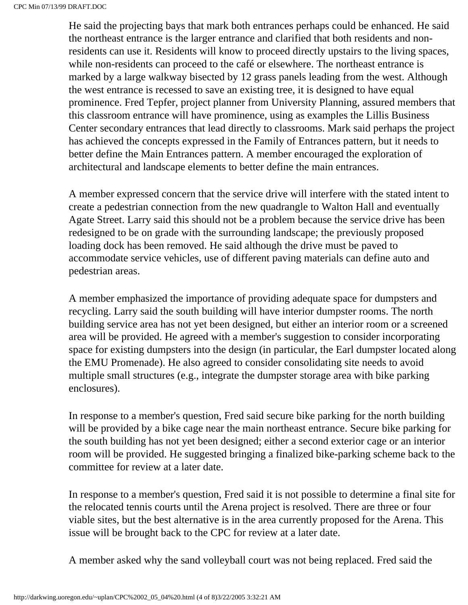He said the projecting bays that mark both entrances perhaps could be enhanced. He said the northeast entrance is the larger entrance and clarified that both residents and nonresidents can use it. Residents will know to proceed directly upstairs to the living spaces, while non-residents can proceed to the café or elsewhere. The northeast entrance is marked by a large walkway bisected by 12 grass panels leading from the west. Although the west entrance is recessed to save an existing tree, it is designed to have equal prominence. Fred Tepfer, project planner from University Planning, assured members that this classroom entrance will have prominence, using as examples the Lillis Business Center secondary entrances that lead directly to classrooms. Mark said perhaps the project has achieved the concepts expressed in the Family of Entrances pattern, but it needs to better define the Main Entrances pattern. A member encouraged the exploration of architectural and landscape elements to better define the main entrances.

A member expressed concern that the service drive will interfere with the stated intent to create a pedestrian connection from the new quadrangle to Walton Hall and eventually Agate Street. Larry said this should not be a problem because the service drive has been redesigned to be on grade with the surrounding landscape; the previously proposed loading dock has been removed. He said although the drive must be paved to accommodate service vehicles, use of different paving materials can define auto and pedestrian areas.

A member emphasized the importance of providing adequate space for dumpsters and recycling. Larry said the south building will have interior dumpster rooms. The north building service area has not yet been designed, but either an interior room or a screened area will be provided. He agreed with a member's suggestion to consider incorporating space for existing dumpsters into the design (in particular, the Earl dumpster located along the EMU Promenade). He also agreed to consider consolidating site needs to avoid multiple small structures (e.g., integrate the dumpster storage area with bike parking enclosures).

In response to a member's question, Fred said secure bike parking for the north building will be provided by a bike cage near the main northeast entrance. Secure bike parking for the south building has not yet been designed; either a second exterior cage or an interior room will be provided. He suggested bringing a finalized bike-parking scheme back to the committee for review at a later date.

In response to a member's question, Fred said it is not possible to determine a final site for the relocated tennis courts until the Arena project is resolved. There are three or four viable sites, but the best alternative is in the area currently proposed for the Arena. This issue will be brought back to the CPC for review at a later date.

A member asked why the sand volleyball court was not being replaced. Fred said the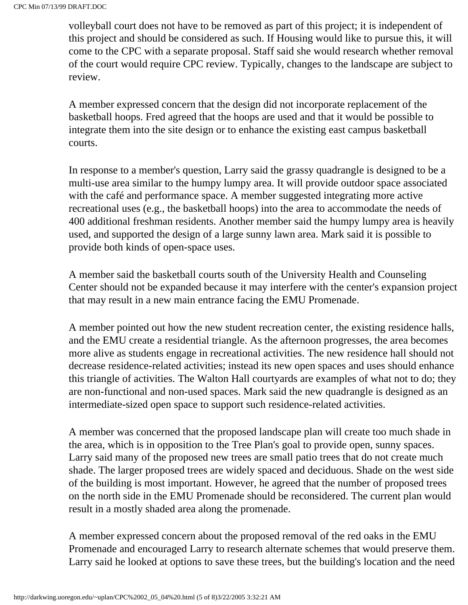volleyball court does not have to be removed as part of this project; it is independent of this project and should be considered as such. If Housing would like to pursue this, it will come to the CPC with a separate proposal. Staff said she would research whether removal of the court would require CPC review. Typically, changes to the landscape are subject to review.

A member expressed concern that the design did not incorporate replacement of the basketball hoops. Fred agreed that the hoops are used and that it would be possible to integrate them into the site design or to enhance the existing east campus basketball courts.

In response to a member's question, Larry said the grassy quadrangle is designed to be a multi-use area similar to the humpy lumpy area. It will provide outdoor space associated with the café and performance space. A member suggested integrating more active recreational uses (e.g., the basketball hoops) into the area to accommodate the needs of 400 additional freshman residents. Another member said the humpy lumpy area is heavily used, and supported the design of a large sunny lawn area. Mark said it is possible to provide both kinds of open-space uses.

A member said the basketball courts south of the University Health and Counseling Center should not be expanded because it may interfere with the center's expansion project that may result in a new main entrance facing the EMU Promenade.

A member pointed out how the new student recreation center, the existing residence halls, and the EMU create a residential triangle. As the afternoon progresses, the area becomes more alive as students engage in recreational activities. The new residence hall should not decrease residence-related activities; instead its new open spaces and uses should enhance this triangle of activities. The Walton Hall courtyards are examples of what not to do; they are non-functional and non-used spaces. Mark said the new quadrangle is designed as an intermediate-sized open space to support such residence-related activities.

A member was concerned that the proposed landscape plan will create too much shade in the area, which is in opposition to the Tree Plan's goal to provide open, sunny spaces. Larry said many of the proposed new trees are small patio trees that do not create much shade. The larger proposed trees are widely spaced and deciduous. Shade on the west side of the building is most important. However, he agreed that the number of proposed trees on the north side in the EMU Promenade should be reconsidered. The current plan would result in a mostly shaded area along the promenade.

A member expressed concern about the proposed removal of the red oaks in the EMU Promenade and encouraged Larry to research alternate schemes that would preserve them. Larry said he looked at options to save these trees, but the building's location and the need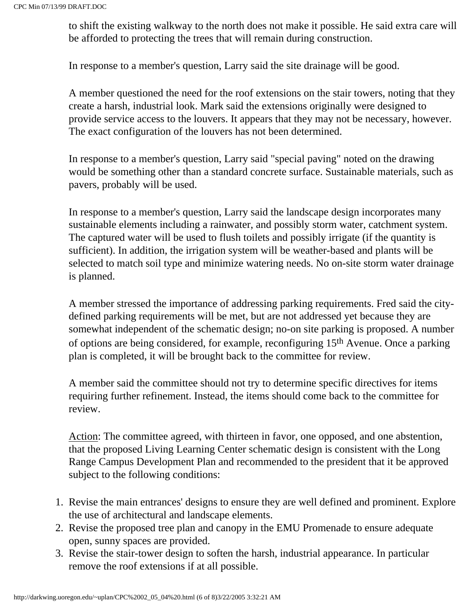to shift the existing walkway to the north does not make it possible. He said extra care will be afforded to protecting the trees that will remain during construction.

In response to a member's question, Larry said the site drainage will be good.

A member questioned the need for the roof extensions on the stair towers, noting that they create a harsh, industrial look. Mark said the extensions originally were designed to provide service access to the louvers. It appears that they may not be necessary, however. The exact configuration of the louvers has not been determined.

In response to a member's question, Larry said "special paving" noted on the drawing would be something other than a standard concrete surface. Sustainable materials, such as pavers, probably will be used.

In response to a member's question, Larry said the landscape design incorporates many sustainable elements including a rainwater, and possibly storm water, catchment system. The captured water will be used to flush toilets and possibly irrigate (if the quantity is sufficient). In addition, the irrigation system will be weather-based and plants will be selected to match soil type and minimize watering needs. No on-site storm water drainage is planned.

A member stressed the importance of addressing parking requirements. Fred said the citydefined parking requirements will be met, but are not addressed yet because they are somewhat independent of the schematic design; no-on site parking is proposed. A number of options are being considered, for example, reconfiguring 15th Avenue. Once a parking plan is completed, it will be brought back to the committee for review.

A member said the committee should not try to determine specific directives for items requiring further refinement. Instead, the items should come back to the committee for review.

Action: The committee agreed, with thirteen in favor, one opposed, and one abstention, that the proposed Living Learning Center schematic design is consistent with the Long Range Campus Development Plan and recommended to the president that it be approved subject to the following conditions:

- 1. Revise the main entrances' designs to ensure they are well defined and prominent. Explore the use of architectural and landscape elements.
- 2. Revise the proposed tree plan and canopy in the EMU Promenade to ensure adequate open, sunny spaces are provided.
- 3. Revise the stair-tower design to soften the harsh, industrial appearance. In particular remove the roof extensions if at all possible.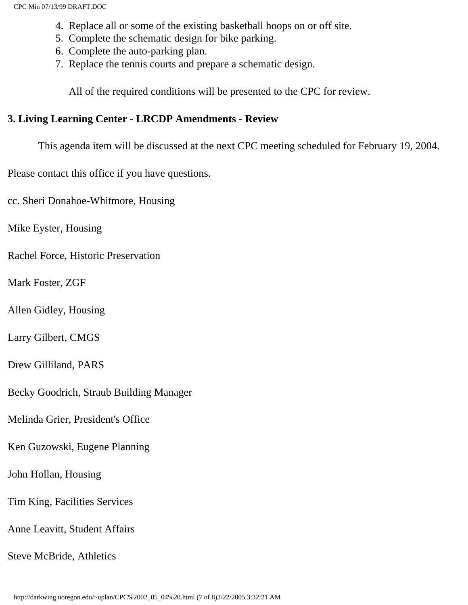- 4. Replace all or some of the existing basketball hoops on or off site.
- 5. Complete the schematic design for bike parking.
- 6. Complete the auto-parking plan.
- 7. Replace the tennis courts and prepare a schematic design.

All of the required conditions will be presented to the CPC for review.

#### **3. Living Learning Center - LRCDP Amendments - Review**

This agenda item will be discussed at the next CPC meeting scheduled for February 19, 2004.

Please contact this office if you have questions.

cc. Sheri Donahoe-Whitmore, Housing

Mike Eyster, Housing

Rachel Force, Historic Preservation

Mark Foster, ZGF

Allen Gidley, Housing

Larry Gilbert, CMGS

Drew Gilliland, PARS

Becky Goodrich, Straub Building Manager

Melinda Grier, President's Office

Ken Guzowski, Eugene Planning

John Hollan, Housing

Tim King, Facilities Services

Anne Leavitt, Student Affairs

Steve McBride, Athletics